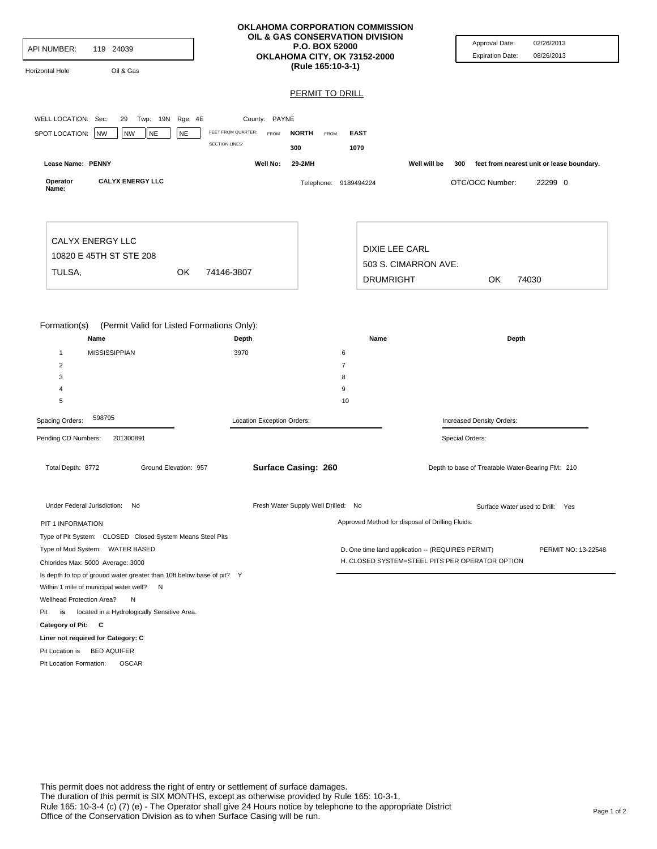| <b>API NUMBER:</b><br>119 24039<br>Oil & Gas<br>Horizontal Hole                                                                   |                                                                   | OKLAHOMA CORPORATION COMMISSION<br>OIL & GAS CONSERVATION DIVISION<br>P.O. BOX 52000<br>OKLAHOMA CITY, OK 73152-2000<br>(Rule 165:10-3-1) | Approval Date:<br>02/26/2013<br>08/26/2013<br><b>Expiration Date:</b>                                                       |
|-----------------------------------------------------------------------------------------------------------------------------------|-------------------------------------------------------------------|-------------------------------------------------------------------------------------------------------------------------------------------|-----------------------------------------------------------------------------------------------------------------------------|
| WELL LOCATION: Sec:<br>Twp: 19N Rge: 4E<br>29                                                                                     | County: PAYNE                                                     | <b>PERMIT TO DRILL</b>                                                                                                                    |                                                                                                                             |
| <b>NE</b><br>SPOT LOCATION:<br>NW<br><b>NW</b><br><b>NE</b>                                                                       | FEET FROM QUARTER:<br><b>FROM</b><br><b>SECTION LINES:</b><br>300 | <b>NORTH</b><br><b>EAST</b><br>FROM<br>1070                                                                                               |                                                                                                                             |
| Lease Name: PENNY                                                                                                                 | Well No:                                                          | 29-2MH                                                                                                                                    | Well will be<br>feet from nearest unit or lease boundary.<br>300                                                            |
| <b>CALYX ENERGY LLC</b><br>Operator<br>Name:                                                                                      |                                                                   | Telephone: 9189494224                                                                                                                     | OTC/OCC Number:<br>22299 0                                                                                                  |
| <b>CALYX ENERGY LLC</b><br>10820 E 45TH ST STE 208                                                                                |                                                                   | DIXIE LEE CARL                                                                                                                            |                                                                                                                             |
| TULSA,<br>OK                                                                                                                      | 74146-3807                                                        | 503 S. CIMARRON AVE.<br><b>DRUMRIGHT</b>                                                                                                  | OK.<br>74030                                                                                                                |
| Formation(s)<br>(Permit Valid for Listed Formations Only):<br>Name                                                                | Depth                                                             | Name                                                                                                                                      | Depth                                                                                                                       |
| <b>MISSISSIPPIAN</b><br>$\mathbf{1}$                                                                                              | 3970                                                              | 6                                                                                                                                         |                                                                                                                             |
| 2                                                                                                                                 |                                                                   | $\overline{7}$                                                                                                                            |                                                                                                                             |
| 3                                                                                                                                 |                                                                   | 8                                                                                                                                         |                                                                                                                             |
| 4<br>5                                                                                                                            |                                                                   | 9<br>10                                                                                                                                   |                                                                                                                             |
| 598795                                                                                                                            |                                                                   |                                                                                                                                           |                                                                                                                             |
| Spacing Orders:                                                                                                                   | Location Exception Orders:                                        |                                                                                                                                           | Increased Density Orders:                                                                                                   |
| Pending CD Numbers:<br>201300891<br>Total Depth: 8772<br>Ground Elevation: 957                                                    | Surface Casing: 260                                               |                                                                                                                                           | Special Orders:<br>Depth to base of Treatable Water-Bearing FM: 210                                                         |
| Under Federal Jurisdiction: No                                                                                                    |                                                                   | Fresh Water Supply Well Drilled: No                                                                                                       | Surface Water used to Drill: Yes                                                                                            |
| PIT 1 INFORMATION                                                                                                                 |                                                                   | Approved Method for disposal of Drilling Fluids:                                                                                          |                                                                                                                             |
| Type of Pit System: CLOSED Closed System Means Steel Pits<br>Type of Mud System: WATER BASED<br>Chlorides Max: 5000 Average: 3000 |                                                                   |                                                                                                                                           | D. One time land application -- (REQUIRES PERMIT)<br>PERMIT NO: 13-22548<br>H. CLOSED SYSTEM=STEEL PITS PER OPERATOR OPTION |
| Is depth to top of ground water greater than 10ft below base of pit? Y<br>Within 1 mile of municipal water well? N                |                                                                   |                                                                                                                                           |                                                                                                                             |
| Wellhead Protection Area?<br>Ν                                                                                                    |                                                                   |                                                                                                                                           |                                                                                                                             |
| is located in a Hydrologically Sensitive Area.<br>Pit                                                                             |                                                                   |                                                                                                                                           |                                                                                                                             |
| Category of Pit: C                                                                                                                |                                                                   |                                                                                                                                           |                                                                                                                             |
| Liner not required for Category: C                                                                                                |                                                                   |                                                                                                                                           |                                                                                                                             |
| Pit Location is BED AQUIFER                                                                                                       |                                                                   |                                                                                                                                           |                                                                                                                             |
| Pit Location Formation:<br><b>OSCAR</b>                                                                                           |                                                                   |                                                                                                                                           |                                                                                                                             |